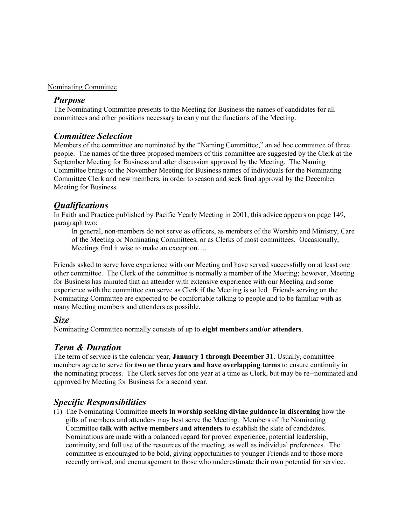#### Nominating Committee

#### Purpose

The Nominating Committee presents to the Meeting for Business the names of candidates for all committees and other positions necessary to carry out the functions of the Meeting.

### Committee Selection

Members of the committee are nominated by the "Naming Committee," an ad hoc committee of three people. The names of the three proposed members of this committee are suggested by the Clerk at the September Meeting for Business and after discussion approved by the Meeting. The Naming Committee brings to the November Meeting for Business names of individuals for the Nominating Committee Clerk and new members, in order to season and seek final approval by the December Meeting for Business.

### Qualifications

In Faith and Practice published by Pacific Yearly Meeting in 2001, this advice appears on page 149, paragraph two:

In general, non-members do not serve as officers, as members of the Worship and Ministry, Care of the Meeting or Nominating Committees, or as Clerks of most committees. Occasionally, Meetings find it wise to make an exception….

Friends asked to serve have experience with our Meeting and have served successfully on at least one other committee. The Clerk of the committee is normally a member of the Meeting; however, Meeting for Business has minuted that an attender with extensive experience with our Meeting and some experience with the committee can serve as Clerk if the Meeting is so led. Friends serving on the Nominating Committee are expected to be comfortable talking to people and to be familiar with as many Meeting members and attenders as possible.

#### Size

Nominating Committee normally consists of up to eight members and/or attenders.

# Term & Duration

The term of service is the calendar year, **January 1 through December 31**. Usually, committee members agree to serve for **two or three years and have overlapping terms** to ensure continuity in the nominating process. The Clerk serves for one year at a time as Clerk, but may be re--nominated and approved by Meeting for Business for a second year.

# Specific Responsibilities

(1) The Nominating Committee meets in worship seeking divine guidance in discerning how the gifts of members and attenders may best serve the Meeting. Members of the Nominating Committee talk with active members and attenders to establish the slate of candidates. Nominations are made with a balanced regard for proven experience, potential leadership, continuity, and full use of the resources of the meeting, as well as individual preferences. The committee is encouraged to be bold, giving opportunities to younger Friends and to those more recently arrived, and encouragement to those who underestimate their own potential for service.